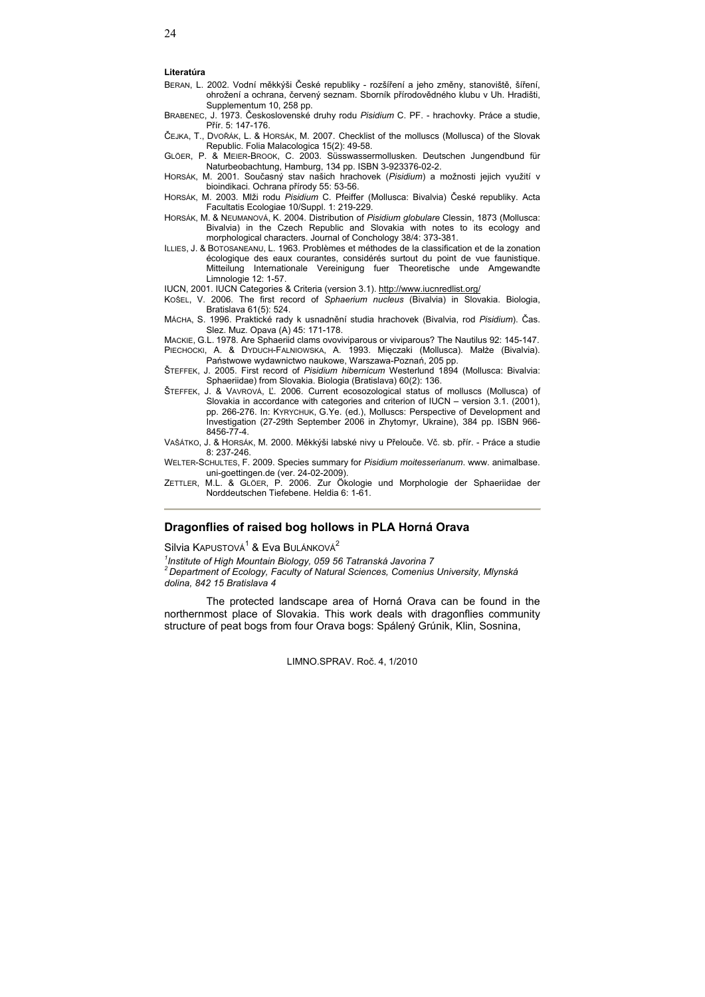### **Literatúra**

- BERAN, L. 2002. Vodní měkkýši České republiky rozšíření a jeho změny, stanoviště, šíření, ohrožení a ochrana, červený seznam. Sborník přírodovědného klubu v Uh. Hradišti, Supplementum 10, 258 pp.
- BRABENEC, J. 1973. ýeskoslovenské druhy rodu *Pisidium* C. PF. hrachovky. Práce a studie, Přír. 5: 147-176.
- ýEJKA, T., DVOěÁK, L. & HORSÁK, M. 2007. Checklist of the molluscs (Mollusca) of the Slovak Republic. Folia Malacologica 15(2): 49-58.
- GLÖER, P. & MEIER-BROOK, C. 2003. Süsswassermollusken. Deutschen Jungendbund für Naturbeobachtung, Hamburg, 134 pp. ISBN 3-923376-02-2.
- HORSÁK, M. 2001. Současný stav našich hrachovek (Pisidium) a možnosti jejich využití v bioindikaci. Ochrana přírody 55: 53-56.
- HORSÁK, M. 2003. Mlži rodu *Pisidium* C. Pfeiffer (Mollusca: Bivalvia) ýeské republiky. Acta Facultatis Ecologiae 10/Suppl. 1: 219-229.
- HORSÁK, M. & NEUMANOVÁ, K. 2004. Distribution of *Pisidium globulare* Clessin, 1873 (Mollusca: Bivalvia) in the Czech Republic and Slovakia with notes to its ecology and morphological characters. Journal of Conchology 38/4: 373-381.
- ILLIES, J. & BOTOSANEANU, L. 1963. Problèmes et méthodes de la classification et de la zonation écologique des eaux courantes, considérés surtout du point de vue faunistique. Mitteilung Internationale Vereinigung fuer Theoretische unde Amgewandte Limnologie 12: 1-57.
- IUCN, 2001. IUCN Categories & Criteria (version 3.1). http://www.iucnredlist.org/
- KOŠEL, V. 2006. The first record of *Sphaerium nucleus* (Bivalvia) in Slovakia. Biologia, Bratislava 61(5): 524.
- MÁCHA, S. 1996. Praktické rady k usnadnČní studia hrachovek (Bivalvia, rod *Pisidium*). ýas. Slez. Muz. Opava (A) 45: 171-178.
- MACKIE, G.L. 1978. Are Sphaeriid clams ovoviviparous or viviparous? The Nautilus 92: 145-147.
- PIECHOCKI, A. & DYDUCH-FALNIOWSKA, A. 1993. Mieczaki (Mollusca). Małże (Bivalvia). Państwowe wydawnictwo naukowe, Warszawa-Poznań, 205 pp.
- ŠTEFFEK, J. 2005. First record of *Pisidium hibernicum* Westerlund 1894 (Mollusca: Bivalvia: Sphaeriidae) from Slovakia. Biologia (Bratislava) 60(2): 136.
- ŠTEFFEK, J. & VAVROVÁ, ď. 2006. Current ecosozological status of molluscs (Mollusca) of Slovakia in accordance with categories and criterion of IUCN – version 3.1. (2001), pp. 266-276. In: KYRYCHUK, G.Ye. (ed.), Molluscs: Perspective of Development and Investigation (27-29th September 2006 in Zhytomyr, Ukraine), 384 pp. ISBN 966- 8456-77-4.
- VAŠÁTKO, J. & HORSÁK, M. 2000. Měkkýši labské nivy u Přelouče. Vč. sb. přír. Práce a studie 8: 237-246.
- WELTER-SCHULTES, F. 2009. Species summary for *Pisidium moitesserianum*. www. animalbase. uni-goettingen.de (ver. 24-02-2009).
- ZETTLER, M.L. & GLÖER, P. 2006. Zur Ökologie und Morphologie der Sphaeriidae der Norddeutschen Tiefebene. Heldia 6: 1-61.

# **Dragonflies of raised bog hollows in PLA Horná Orava**

Silvia KAPUSTOVÁ<sup>1</sup> & Eva BULÁNKOVÁ<sup>2</sup>

*1 Institute of High Mountain Biology, 059 56 Tatranská Javorina 7 2 Department of Ecology, Faculty of Natural Sciences, Comenius University, Mlynská dolina, 842 15 Bratislava 4* 

The protected landscape area of Horná Orava can be found in the northernmost place of Slovakia. This work deals with dragonflies community structure of peat bogs from four Orava bogs: Spálený Grúnik, Klin, Sosnina,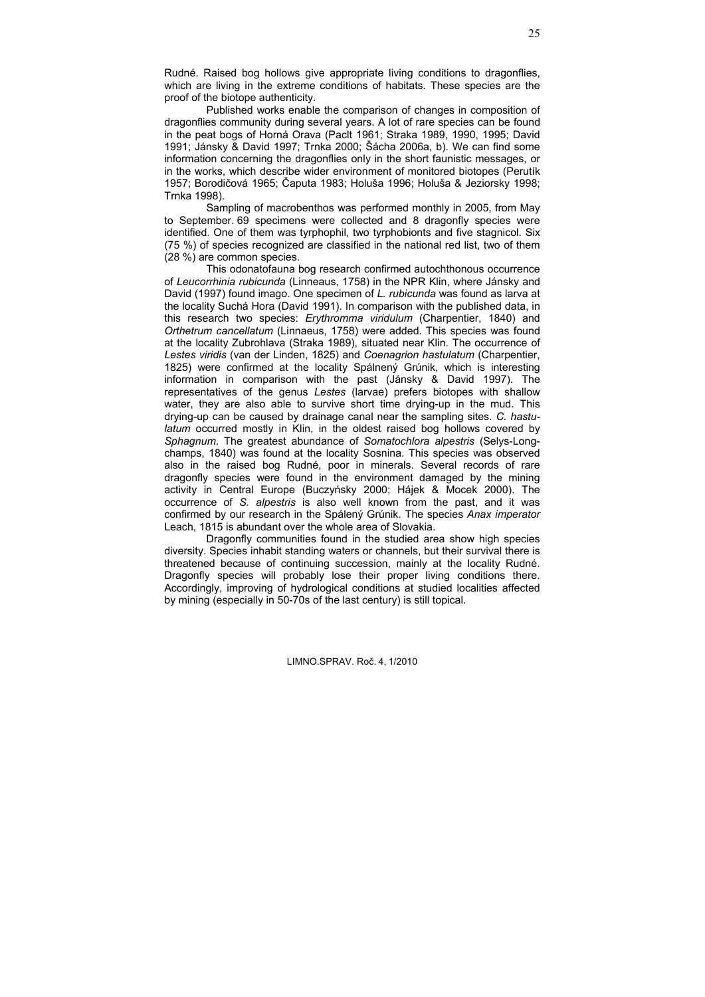Rudné. Raised bog hollows give appropriate living conditions to dragonflies, which are living in the extreme conditions of habitats. These species are the proof of the biotope authenticity.

Published works enable the comparison of changes in composition of dragonflies community during several years. A lot of rare species can be found in the peat bogs of Horná Orava (Paclt 1961; Straka 1989, 1990, 1995; David 1991; Jánsky & David 1997; Trnka 2000; Šácha 2006a, b). We can find some information concerning the dragonflies only in the short faunistic messages, or in the works, which describe wider environment of monitored biotopes (Perutík 1957; Borodičová 1965; Čaputa 1983; Holuša 1996; Holuša & Jeziorsky 1998; Trnka 1998).

Sampling of macrobenthos was performed monthly in 2005, from May to September. 69 specimens were collected and 8 dragonfly species were identified. One of them was tyrphophil, two tyrphobionts and five stagnicol. Six (75 %) of species recognized are classified in the national red list, two of them (28 %) are common species.

This odonatofauna bog research confirmed autochthonous occurrence of *Leucorrhinia rubicunda* (Linneaus, 1758) in the NPR Klin, where Jánsky and David (1997) found imago. One specimen of *L. rubicunda* was found as larva at the locality Suchá Hora (David 1991). In comparison with the published data, in this research two species: *Erythromma viridulum* (Charpentier, 1840) and *Orthetrum cancellatum* (Linnaeus, 1758) were added. This species was found at the locality Zubrohlava (Straka 1989), situated near Klin. The occurrence of *Lestes viridis* (van der Linden, 1825) and *Coenagrion hastulatum* (Charpentier, 1825) were confirmed at the locality Spálnený Grúnik, which is interesting information in comparison with the past (Jánsky & David 1997). The representatives of the genus *Lestes* (larvae) prefers biotopes with shallow water, they are also able to survive short time drying-up in the mud. This drying-up can be caused by drainage canal near the sampling sites. *C. hastulatum* occurred mostly in Klin, in the oldest raised bog hollows covered by *Sphagnum*. The greatest abundance of *Somatochlora alpestris* (Selys-Longchamps, 1840) was found at the locality Sosnina. This species was observed also in the raised bog Rudné, poor in minerals. Several records of rare dragonfly species were found in the environment damaged by the mining activity in Central Europe (Buczyńsky 2000; Hájek & Mocek 2000). The occurrence of *S. alpestris* is also well known from the past, and it was confirmed by our research in the Spálený Grúnik. The species *Anax imperator* Leach, 1815 is abundant over the whole area of Slovakia.

Dragonfly communities found in the studied area show high species diversity. Species inhabit standing waters or channels, but their survival there is threatened because of continuing succession, mainly at the locality Rudné. Dragonfly species will probably lose their proper living conditions there. Accordingly, improving of hydrological conditions at studied localities affected by mining (especially in 50-70s of the last century) is still topical.